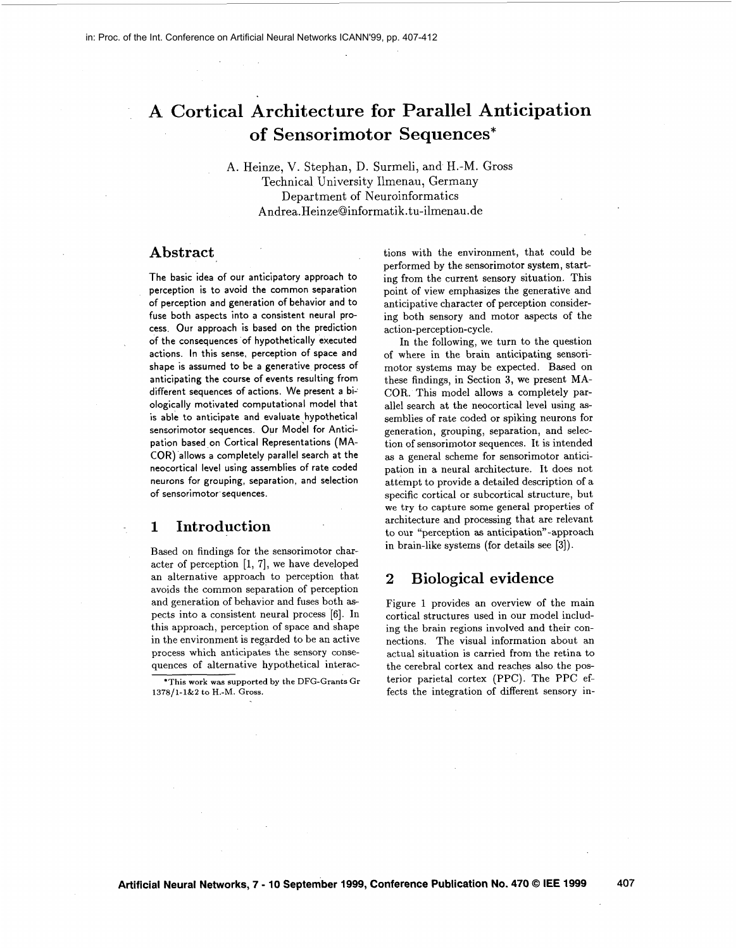# **A Cortical Architecture for Parallel Anticipation of Sensorimotor Sequences\***

**A.** Heinze, V. Stephan, D. Surmeli, and H.-M. Gross Technical University Ilmenau, Germany Department of Neuroinformatics Andrea. HeinzeQinformatik. tu-ilmenau .de

### **Abstract**

The basic idea of our anticipatory approach to perception is to avoid the common separation of perception and generation of behavior and to fuse both aspects into a consistent neural process. Our approach is based on the prediction of the consequences of hypothetically executed actions. In this sense, perception of space and shape is assumed to be a generative process of anticipating the course of events resulting from different sequences of actions. We present a biologically motivated computational model that is able to anticipate and evaluate hypothetical sensorimotor sequences. Our Model for Anticipation based on Cortical Representations (MA-COR) allows a completely parallel search at the neocortical level using assemblies of rate coded neurons for grouping, separation, and selection of sensorimotor sequences.

#### **1 Introduction**

Based on findings for the sensorimotor character of perception  $[1, 7]$ , we have developed an alternative approach to perception that avoids the common separation of perception and generation of behavior and fuses both aspects into a consistent neural process [6]. In this approach, perception of space and shape in the environment is regarded to be an active process which anticipates the sensory consequences of alternative hypothetical interactions with the environment, that could be performed by the sensorimotor system, starting from the current sensory situation. This point of view emphasizes the generative and anticipative character of perception considering both sensory and motor aspects of the action-perception-cycle.

In the following, we turn to the question of where in the brain anticipating sensorimotor systems may be expected. Based on these findings, in Section **3,** we present **MA-**COR. This model allows a completely parallel search at the neocortical level using assemblies of rate coded or spiking neurons for generation, grouping, separation, and selection of sensorimotor sequences. It is intended as a general scheme for sensorimotor anticipation in a neural architecture. It does not attempt to provide a detailed description of a specific cortical or subcortical structure, but we try to capture some general properties of architecture and processing that are relevant to our "perception **as** anticipation"-approach in brain-like systems (for details see **[3]).** 

# **2 Biological evidence**

Figure 1 provides an overview of the main cortical structures used in our model including the brain regions involved and their connections. The visual information about an actual situation is carried from the retina to the cerebral cortex and reaches also the posterior parietal cortex (PPC). The PPC effects the integration of different sensory in-

<sup>&#</sup>x27;This **work was supported by the DFG-Grants** Gr **1378/1-1&2 to** H.-M. **Gross.**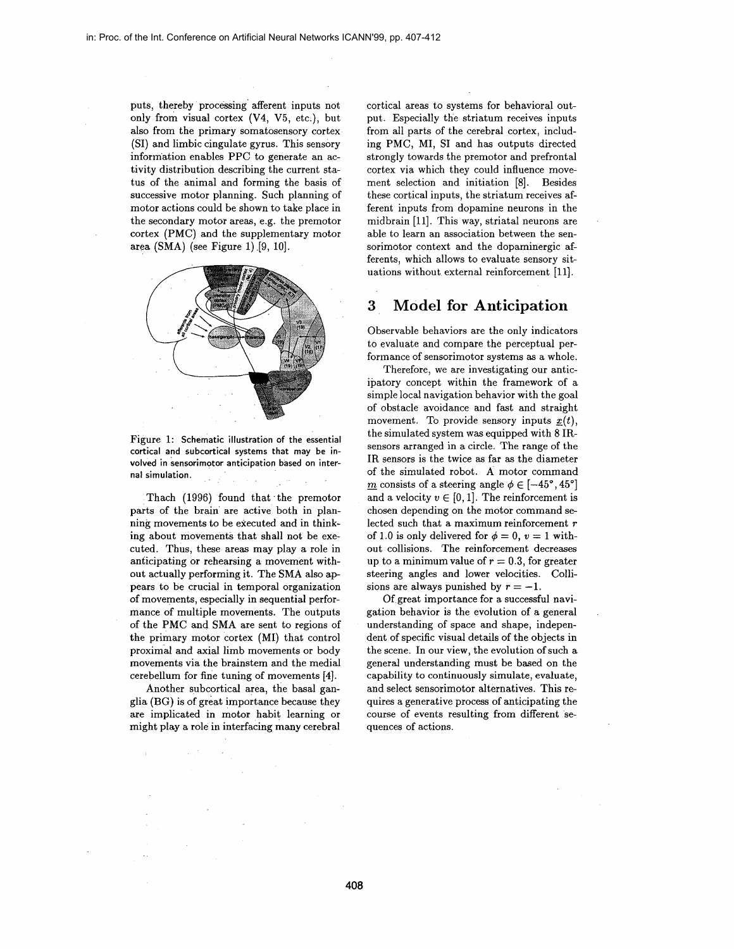puts, thereby processing' afferent inputs not only from visual cortex **(V4, V5,** etc.), but also from the primary somatosensory cortex (SI) and limbic cingulate gyrus. This sensory information enables PPC to generate an activity distribution describing the current status of the animal and forming the basis of successive motor planning. Such planning of motor actions could be shown to take place in the secondary motor areas, e.g. the premotor cortex (PMC) and the supplementary motor area (SMA) (see Figure 1).[9, 10].



Figure 1: **Schematic illustration of the essential cortical and subcortical systems that may be involved in sensorimotor anticipation based on internal simulation.** 

Thach (1996) found that the premotor parts of the brain are active both in planning movements to be executed and in thinking about movements that shall not be executed. Thus, these areas may play a role in anticipating or rehearsing a movement without actually performing it. The SMA also appears to be crucial in temporal organization of movements, especially in sequential performance of multiple movements. The outputs of the PMC and SMA are sent to regions of the primary motor cortex (MI) that control proximal and axial limb movements or body movements via the brainstem and the medial cerebellum for fine tuning of movements **[4].** 

Another subcortical area, the basal ganglia (BG) is of great importance because they are implicated in motor habit learning or might play a role in interfacing many cerebral cortical areas to systems for behavioral output. Especially the striatum receives inputs from all parts of the cerebral cortex, including PMC, MI, SI and has outputs directed strongly towards the premotor and prefrontal cortex via which they could influence movement selection and initiation [8]. Besides these cortical inputs, the striatum receives afferent inputs from dopamine neurons in the midbrain [ll]. This way, striatal neurons are able to learn an association between the sensorimotor context and the dopaminergic afferents, which allows to evaluate sensory situations without external reinforcement [11].

## **3 Model for Anticipation**

Observable behaviors are the only indicators to evaluate and compare the perceptual performance of sensorimotor systems **as** a whole.

Therefore, we are investigating our anticipatory concept within the framework of a simple local navigation behavior with the goal of obstacle avoidance and fast and straight movement. To provide sensory inputs  $x(t)$ , the simulated system was equipped with 8 IRsensors arranged in a circle. The range of the IR sensors is the twice **as** far **as** the diameter of the simulated robot. A motor command  $\underline{m}$  consists of a steering angle  $\phi \in [-45^{\circ}, 45^{\circ}]$ and a velocity  $v \in [0,1]$ . The reinforcement is chosen depending on the motor command selected such that a maximum reinforcement *r*  of 1.0 is only delivered for  $\phi = 0$ ,  $v = 1$  without collisions. The reinforcement decreases up to a minimum value of  $r = 0.3$ , for greater steering angles and lower velocities. Collisions are always punished by  $r = -1$ .

Of great importance for a successful navigation behavior is the evolution of a general understanding of space and shape, independent of specific visual details of the objects in the scene. In our view, the evolution of such a general understanding must be based on the capability to continuously simulate, evaluate, and select sensorimotor alternatives. This requires a generative process of anticipating the course of events resulting from different sequences of actions.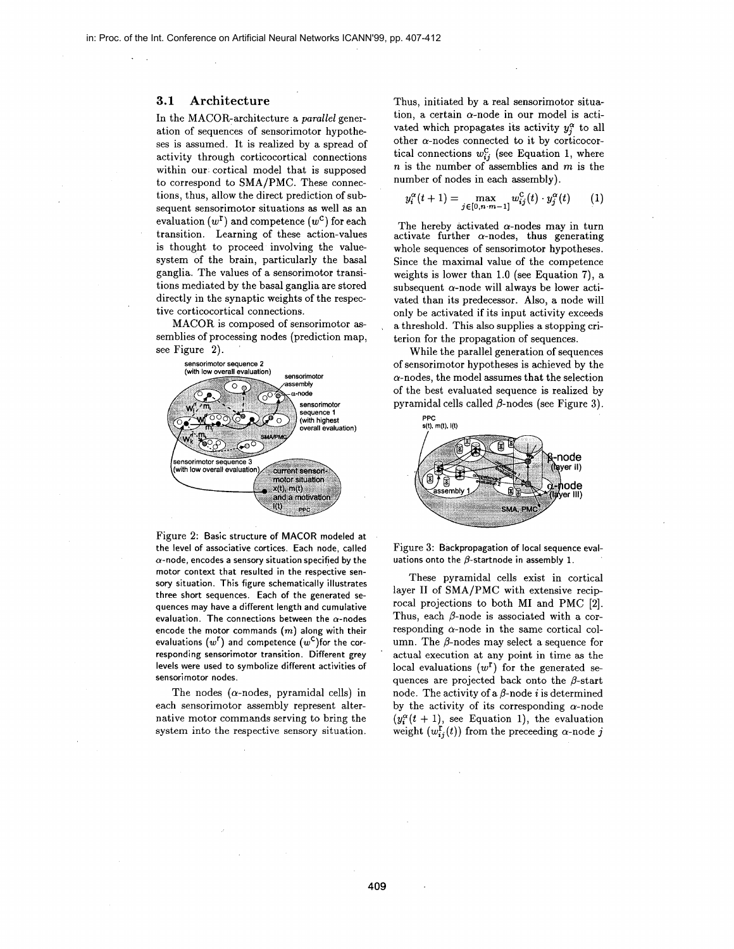#### **3.1 Architecture**

In the MACOR-architecture a *parallel* generation of sequences of sensorimotor hypotheses is assumed. It is realized by a spread of activity through corticocortical connections within our cortical model that is supposed to correspond to SMA/PMC. These connections, thus, allow the direct prediction of subsequent sensorimotor situations as well as an evaluation  $(w^{\mathsf{T}})$  and competence  $(w^{\mathsf{C}})$  for each transition. Learning of these action-values is thought to proceed involving the valuesystem of the brain, particularly the basal ganglia. The values of a sensorimotor transitions mediated by the basal ganglia are stored directly in the synaptic weights of the respective corticocortical connections.

MACOR is composed of sensorimotor **as**semblies of processing nodes (prediction map, see Figure **2).** 



Figure 2: **Basic structure of MACOR modeled at the level of associative cortices. Each node, called a-node, encodes a sensory situation specified by the motor context that resulted in the respective sensory situation. This figure schematically illustrates three short sequences. Each of the generated sequences may have a different length and cumulative evaluation. The connections between the a-nodes encode the motor commands** *(m)* **along with their**  evaluations  $(w^{\mathsf{r}})$  and competence  $(w^{\mathsf{c}})$  for the cor**responding sensorimotor transition. Different grey levels were used to symbolize different activities of sensorimotor nodes.** 

The nodes ( $\alpha$ -nodes, pyramidal cells) in each sensorimotor assembly represent alternative motor commands serving to bring the system into the respective sensory situation.

Thus, initiated by a real sensorimotor situation, a certain  $\alpha$ -node in our model is activated which propagates its activity  $y_i^{\alpha}$  to all other  $\alpha$ -nodes connected to it by corticocortical connections  $w_{ij}^C$  (see Equation 1, where  $n$  is the number of assemblies and  $m$  is the number of nodes in each assembly).

$$
y_i^{\alpha}(t+1) = \max_{j \in [0, n-m-1]} w_{ij}^{\mathcal{C}}(t) \cdot y_j^{\alpha}(t) \qquad (1)
$$

The hereby activated  $\alpha$ -nodes may in turn activate further  $\alpha$ -nodes, thus generating whole sequences of sensorimotor hypotheses. Since the maximal value of the competence weights is lower than 1.0 (see Equation 7), a subsequent  $\alpha$ -node will always be lower activated than its predecessor. Also, a node will only be activated if its input activity exceeds a threshold. This also supplies a stopping criterion for the propagation of sequences.

While the parallel generation of sequences of sensorimotor hypotheses is achieved by the  $\alpha$ -nodes, the model assumes that the selection of the best evaluated sequence is realized by pyramidal cells called  $\beta$ -nodes (see Figure 3).



Figure **3: Backpropagation of local sequence eval**uations onto the  $\beta$ -startnode in assembly 1.

These pyramidal cells exist in cortical layer I1 of SMA/PMC with extensive reciprocal projections to both MI and PMC [2]. Thus, each  $\beta$ -node is associated with a corresponding  $\alpha$ -node in the same cortical column. The  $\beta$ -nodes may select a sequence for actual execution at any point in time as the local evaluations  $(w^{\mathbf{r}})$  for the generated sequences are projected back onto the  $\beta$ -start node. The activity of a  $\beta$ -node *i* is determined by the activity of its corresponding  $\alpha$ -node  $(y_i^{\alpha}(t + 1))$ , see Equation 1), the evaluation weight  $(w_{ij}^r(t))$  from the preceeding  $\alpha$ -node *j* 

'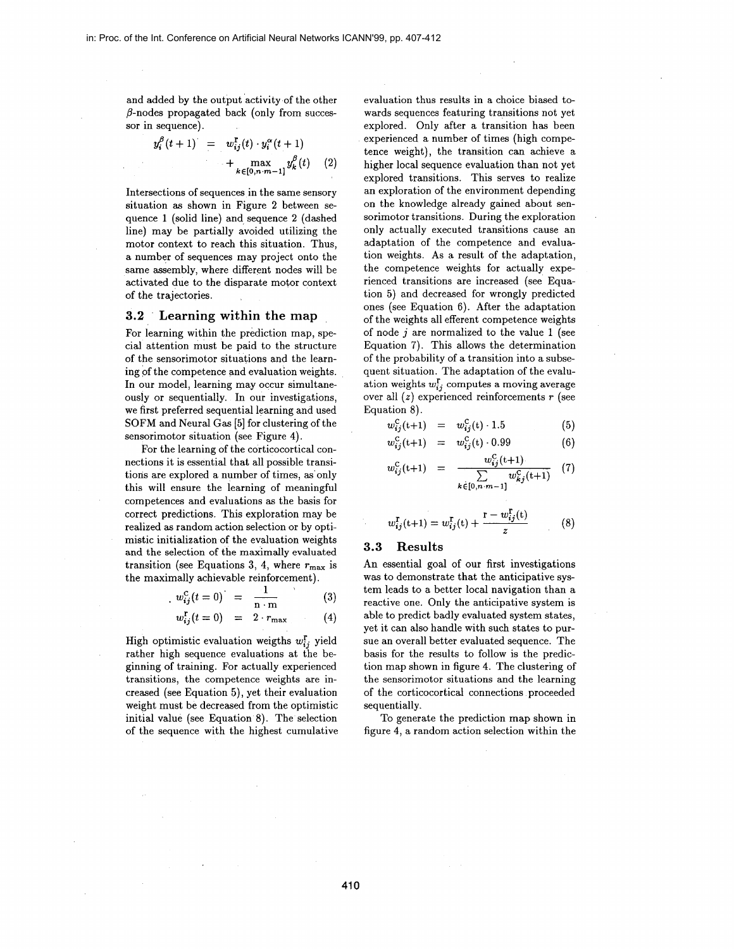and added by the output activity of the other  $\beta$ -nodes propagated back (only from successor in sequence).

$$
y_i^{\beta}(t+1) = w_{ij}^{\Gamma}(t) \cdot y_i^{\alpha}(t+1) + \max_{k \in [0, n \cdot m-1]} y_k^{\beta}(t) \quad (2)
$$

Intersections of sequences in the same sensory situation as shown in Figure 2 between sequence 1 (solid line) and sequence **2** (dashed line) may be partially avoided utilizing the motor context to reach this situation. Thus, a number of sequences may project onto the same assembly, where different nodes will be activated due to the disparate motor context of the trajectories.

#### **3.2 Learning within the map**

For learning within the prediction map, special attention must be paid to the structure of the sensorimotor situations and the learning of the competence and evaluation weights. In our model, learning may occur simultaneously or sequentially. In our investigations, we first preferred sequential learning and used SOFM and Neural Gas [5] for clustering of the sensorimotor situation (see Figure **4).** 

For the learning of the corticocortical connections it is essential that all possible transitions are explored a number of times, as'only this will ensure the learning of meaningful competences and evaluations as the basis for correct predictions. This exploration may be realized **as** random action selection or by optimistic initialization of the evaluation weights<br>and the selection of the maximally evaluated<br>transition (see Equations 3, 4, where  $r_{\text{max}}$  is<br>the maximally achievable reinforcement).<br> $w_{ij}^{\text{c}}(t = 0) = \frac{1}{n \cdot m}$  (3) and the selection of the maximally evaluated transition (see Equations 3, 4, where  $r_{\text{max}}$  is the maximally achievable reinforcement).

$$
w_{ij}^{\rm C}(t=0) = \frac{1}{n \cdot m} \tag{3}
$$

$$
w_{ij}^{\mathrm{r}}(t=0) = 2 \cdot r_{\mathrm{max}} \tag{4}
$$

High optimistic evaluation weigths  $w_{ij}^r$  yield rather high sequence evaluations at the beginning of training. For actually experienced transitions, the competence weights are increased (see Equation **5),** yet their evaluation weight must be decreased from the optimistic initial value (see Equation 8). The selection of the sequence with the highest cumulative

evaluation thus results in a choice biased towards sequences featuring transitions not yet explored. Only after a transition has been experienced a number of times (high competence weight), the transition can achieve a higher local sequence evaluation than not yet explored transitions. This serves to realize an exploration of the environment depending on the knowledge already gained about sensorimotor transitions. During the exploration only actually executed transitions cause an adaptation of the competence and evaluation weights. As a result of the adaptation, the competence weights for actually experienced transitions are increased (see Equation 5) and decreased for wrongly predicted ones (see Equation 6). After the adaptation of the weights all efferent competence weights of node *j* are normalized to the value 1 (see Equation 7). This allows the determination of the probability of **a** transition into a subsequent situation. The adaptation of the evaluation weights  $w_{ij}^{\mathbf{r}}$  computes a moving average over all (z) experienced reinforcements *r* (see Equation 8).

$$
w_{ij}^{\rm C}(t+1) = w_{ij}^{\rm C}(t) \cdot 1.5 \tag{5}
$$

$$
w_{ij}^{\rm C}(t+1) = w_{ij}^{\rm C}(t) \cdot 0.99 \tag{6}
$$

$$
w_{ij}^{\rm C}(t+1) = \frac{w_{ij}^{\rm C}(t+1)}{\sum\limits_{k \in [0,n-m-1]} w_{kj}^{\rm C}(t+1)}
$$
 (7)

$$
w_{ij}^{\Gamma}(t+1) = w_{ij}^{\Gamma}(t) + \frac{r - w_{ij}^{\Gamma}(t)}{z}
$$
 (8)

#### **3.3 Results**

An essential goal of our first investigations was to demonstrate that the anticipative system leads to a better local navigation than a reactive one. Only the anticipative system is able to predict badly evaluated system states, yet it can also handle with such states to pursue an overall better evaluated sequence. The basis for the results to follow is the prediction map shown in figure **4.** The clustering of the sensorimotor situations and the learning of the corticocortical connections proceeded sequentially.

To generate the prediction map shown in figure **4,** a random action selection within the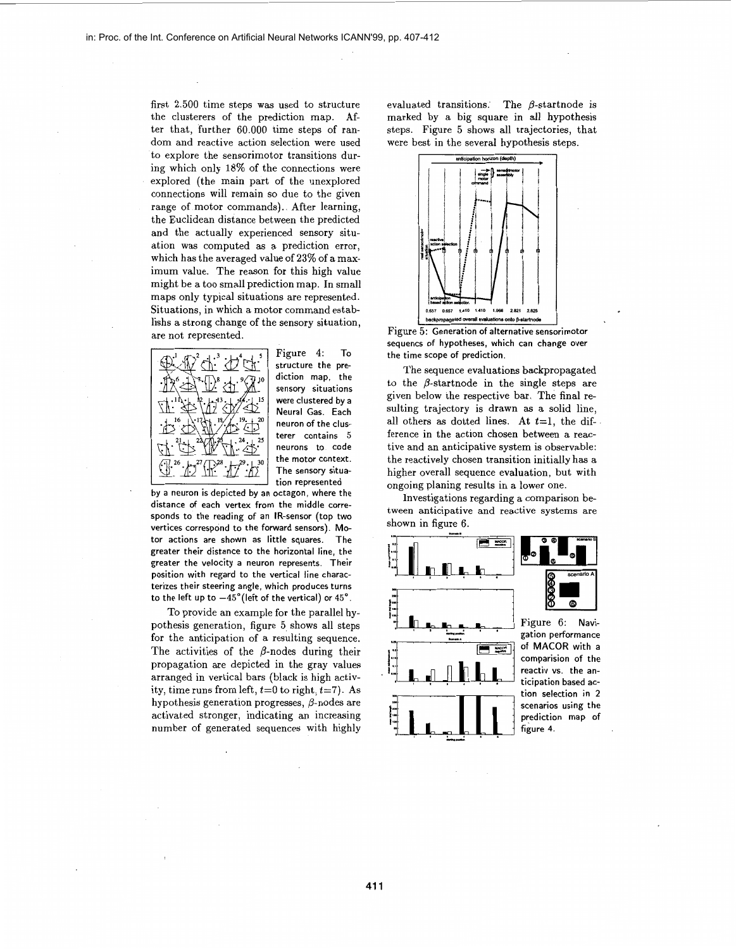first 2.500 time steps was used to structure the clusterers of the prediction map. After that, further 60.000 time steps of random and reactive action selection were used to explore the sensorimotor transitions during which only 18% of the connections were explored (the main part of the unexplored connections will remain so due to the given range of motor commands). After learning, the Euclidean distance between the predicted and the actually experienced sensory situation was computed as a prediction error, which has the averaged value of **23%** of a maximum value. The reason for this high value might be a too small prediction map. In small maps only typical situations are represented. Situations, in which a motor command establishs a strong change of the sensory situation, are not represented.



Figure 4: To structure the prediction map, the sensory situations were clustered by a Neural Gas. Each neuron of the clusterer contains *5*  neurons to code the motor context. The sensory situation represented

by a neuron is depicted by an octagon, where the distance of each vertex from the middle corresponds to the reading of an IR-sensor (top two vertices correspond to the forward sensors). Motor actions are shown as little squares. The greater their distance to the horizontal line, the greater the velocity a neuron represents. Their position with regard to the vertical line characterizes their steering angle, which produces turns to the left up to  $-45^{\circ}$  (left of the vertical) or  $45^{\circ}$ .

To provide an example for the parallel hypothesis generation, figure 5, shows all steps for the anticipation of a resulting sequence. The activities of the  $\beta$ -nodes during their propagation are depicted in the gray values arranged in vertical bars (black is high activity, time runs from left,  $t=0$  to right,  $t=7$ ). As hypothesis generation progresses,  $\beta$ -nodes are activated stronger, indicating an increasing number of generated sequences with highly evaluated transitions. The  $\beta$ -startnode is marked by a big square in all hypothesis steps. Figure 5 shows all trajectories, that were best in the several hypothesis steps.



Figure 5: Generation of alternative sensorimotor sequencs of hypotheses, which can change over the time scope of prediction.

The sequence evaluations backpropagated to the  $\beta$ -startnode in the single steps are given below the respective bar. The final resulting trajectory is drawn **as** a solid line, all others as dotted lines. At  $t=1$ , the difference in the action chosen between a reactive and an anticipative system is observable: the reactively chosen transition initially has a higher overall sequence evaluation, but with ongoing planing results in a lower one.

Investigations regarding a comparison between anticipative and reactive systems are shown in figure 6.